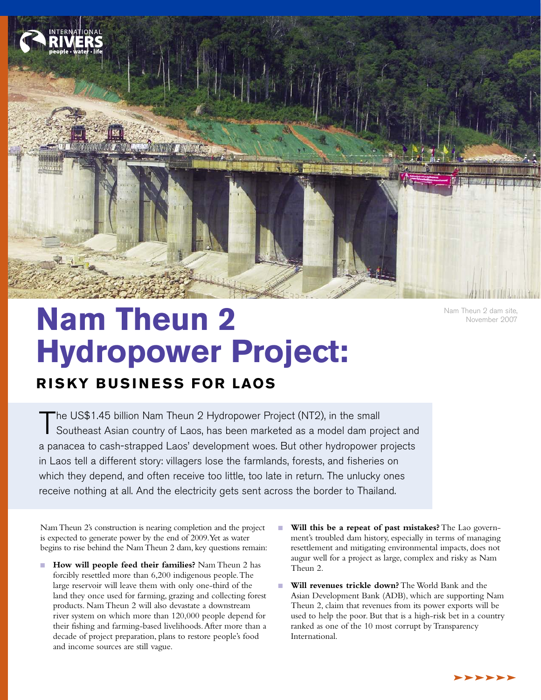

**Nam Theun 2 Hydropower Project:**

## **R IS KY B USI N ESS FOR LAOS**

The US\$1.45 billion Nam Theun 2 Hydropower Project (NT2), in the small<br>Southeast Asian country of Laos, has been marketed as a model dam project and a panacea to cash-strapped Laos' development woes. But other hydropower projects in Laos tell a different story: villagers lose the farmlands, forests, and fisheries on which they depend, and often receive too little, too late in return. The unlucky ones receive nothing at all. And the electricity gets sent across the border to Thailand.

NamTheun 2's construction is nearing completion and the project is expected to generate power by the end of 2009.Yet as water begins to rise behind the NamTheun 2 dam, key questions remain:

- **How will people feed their families?** Nam Theun 2 has forcibly resettled more than 6,200 indigenous people.The large reservoir will leave them with only one-third of the land they once used for farming, grazing and collecting forest products. Nam Theun 2 will also devastate a downstream river system on which more than 120,000 people depend for their fishing and farming-based livelihoods.After more than a decade of project preparation, plans to restore people's food and income sources are still vague.
- **Will this be a repeat of past mistakes?** The Lao government's troubled dam history, especially in terms of managing resettlement and mitigating environmental impacts, does not augur well for a project as large, complex and risky as Nam Theun 2.
- **Will revenues trickle down?** The World Bank and the Asian Development Bank (ADB), which are supporting Nam Theun 2, claim that revenues from its power exports will be used to help the poor. But that is a high-risk bet in a country ranked as one of the 10 most corrupt by Transparency International.

November 2007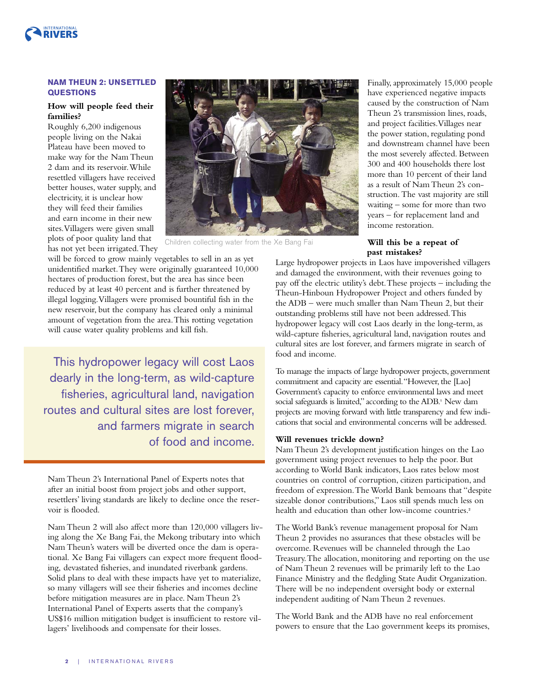

### **NAM THEUN 2: UNSETTLED QUESTIONS**

### **How will people feed their families?**

Roughly 6,200 indigenous people living on the Nakai Plateau have been moved to make way for the Nam Theun 2 dam and its reservoir.While resettled villagers have received better houses, water supply, and electricity, it is unclear how they will feed their families and earn income in their new sites.Villagers were given small plots of poor quality land that has not yet been irrigated.They



Children collecting water from the Xe Bang Fai

will be forced to grow mainly vegetables to sell in an as yet unidentified market.They were originally guaranteed 10,000 hectares of production forest, but the area has since been reduced by at least 40 percent and is further threatened by illegal logging.Villagers were promised bountiful fish in the new reservoir, but the company has cleared only a minimal amount of vegetation from the area.This rotting vegetation will cause water quality problems and kill fish.

This hydropower legacy will cost Laos dearly in the long-term, as wild-capture fisheries, agricultural land, navigation routes and cultural sites are lost forever, and farmers migrate in search of food and income.

Nam Theun 2's International Panel of Experts notes that after an initial boost from project jobs and other support, resettlers' living standards are likely to decline once the reservoir is flooded.

Nam Theun 2 will also affect more than 120,000 villagers living along the Xe Bang Fai, the Mekong tributary into which Nam Theun's waters will be diverted once the dam is operational. Xe Bang Fai villagers can expect more frequent flooding, devastated fisheries, and inundated riverbank gardens. Solid plans to deal with these impacts have yet to materialize, so many villagers will see their fisheries and incomes decline before mitigation measures are in place. Nam Theun 2's International Panel of Experts asserts that the company's US\$16 million mitigation budget is insufficient to restore villagers' livelihoods and compensate for their losses.

Finally,approximately 15,000 people have experienced negative impacts caused by the construction of Nam Theun 2's transmission lines, roads, and project facilities.Villages near the power station, regulating pond and downstream channel have been the most severely affected. Between 300 and 400 households there lost more than 10 percent of their land as a result of Nam Theun 2's construction.The vast majority are still waiting – some for more than two years – for replacement land and income restoration.

### **Will this be a repeat of past mistakes?**

Large hydropower projects in Laos have impoverished villagers and damaged the environment, with their revenues going to pay off the electric utility's debt.These projects – including the Theun-Hinboun Hydropower Project and others funded by the ADB – were much smaller than Nam Theun 2, but their outstanding problems still have not been addressed.This hydropower legacy will cost Laos dearly in the long-term, as wild-capture fisheries, agricultural land, navigation routes and cultural sites are lost forever, and farmers migrate in search of food and income.

To manage the impacts of large hydropower projects, government commitment and capacity are essential."However, the [Lao] Government's capacity to enforce environmental laws and meet social safeguards is limited," according to the ADB.<sup>1</sup> New dam projects are moving forward with little transparency and few indications that social and environmental concerns will be addressed.

### **Will revenues trickle down?**

Nam Theun 2's development justification hinges on the Lao government using project revenues to help the poor. But according to World Bank indicators, Laos rates below most countries on control of corruption, citizen participation, and freedom of expression.The World Bank bemoans that "despite sizeable donor contributions," Laos still spends much less on health and education than other low-income countries. 2

The World Bank's revenue management proposal for Nam Theun 2 provides no assurances that these obstacles will be overcome. Revenues will be channeled through the Lao Treasury.The allocation, monitoring and reporting on the use of Nam Theun 2 revenues will be primarily left to the Lao Finance Ministry and the fledgling State Audit Organization. There will be no independent oversight body or external independent auditing of Nam Theun 2 revenues.

The World Bank and the ADB have no real enforcement powers to ensure that the Lao government keeps its promises,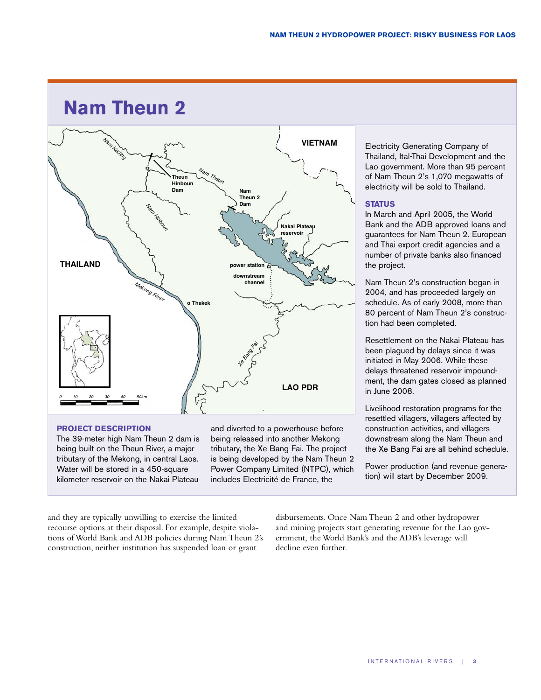# **Nam Theun 2**



### **PROJECT DESCRIPTION**

The 39-meter high Nam Theun 2 dam is being built on the Theun River, a major tributary of the Mekong, in central Laos. Water will be stored in a 450-square kilometer reservoir on the Nakai Plateau

and diverted to a powerhouse before being released into another Mekong tributary, the Xe Bang Fai. The project is being developed by the Nam Theun 2 Power Company Limited (NTPC), which includes Electricité de France, the

Electricity Generating Company of Thailand, Ital-Thai Development and the Lao government. More than 95 percent of Nam Theun 2's 1,070 megawatts of electricity will be sold to Thailand.

### **STATUS**

In March and April 2005, the World Bank and the ADB approved loans and guarantees for Nam Theun 2. European and Thai export credit agencies and a number of private banks also financed the project.

Nam Theun 2's construction began in 2004, and has proceeded largely on schedule. As of early 2008, more than 80 percent of Nam Theun 2's construction had been completed.

Resettlement on the Nakai Plateau has been plagued by delays since it was initiated in May 2006. While these delays threatened reservoir impoundment, the dam gates closed as planned in June 2008.

Livelihood restoration programs for the resettled villagers, villagers affected by construction activities, and villagers downstream along the Nam Theun and the Xe Bang Fai are all behind schedule.

Power production (and revenue generation) will start by December 2009.

and they are typically unwilling to exercise the limited recourse options at their disposal. For example, despite violations of World Bank and ADB policies during Nam Theun 2's construction, neither institution has suspended loan or grant

disbursements. Once Nam Theun 2 and other hydropower and mining projects start generating revenue for the Lao government, the World Bank's and the ADB's leverage will decline even further.